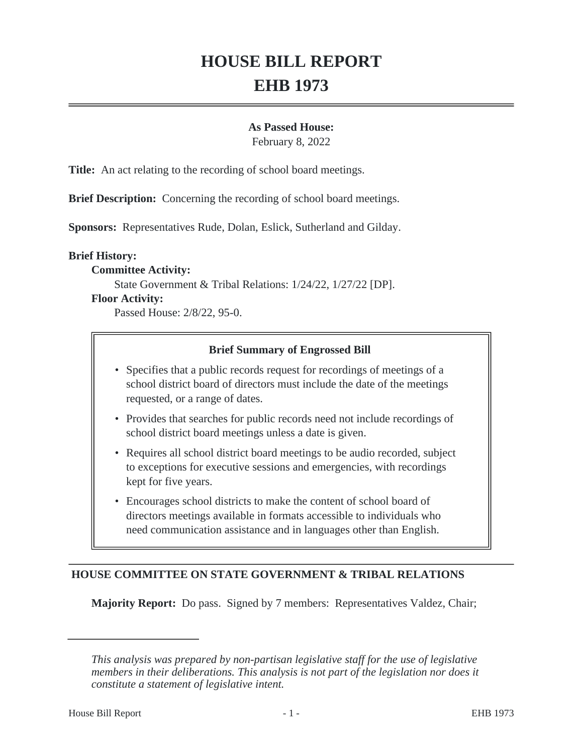# **HOUSE BILL REPORT EHB 1973**

#### **As Passed House:**

February 8, 2022

**Title:** An act relating to the recording of school board meetings.

**Brief Description:** Concerning the recording of school board meetings.

**Sponsors:** Representatives Rude, Dolan, Eslick, Sutherland and Gilday.

#### **Brief History:**

#### **Committee Activity:**

State Government & Tribal Relations: 1/24/22, 1/27/22 [DP].

#### **Floor Activity:**

Passed House: 2/8/22, 95-0.

#### **Brief Summary of Engrossed Bill**

- Specifies that a public records request for recordings of meetings of a school district board of directors must include the date of the meetings requested, or a range of dates.
- Provides that searches for public records need not include recordings of school district board meetings unless a date is given.
- Requires all school district board meetings to be audio recorded, subject to exceptions for executive sessions and emergencies, with recordings kept for five years.
- Encourages school districts to make the content of school board of directors meetings available in formats accessible to individuals who need communication assistance and in languages other than English.

## **HOUSE COMMITTEE ON STATE GOVERNMENT & TRIBAL RELATIONS**

**Majority Report:** Do pass. Signed by 7 members: Representatives Valdez, Chair;

*This analysis was prepared by non-partisan legislative staff for the use of legislative members in their deliberations. This analysis is not part of the legislation nor does it constitute a statement of legislative intent.*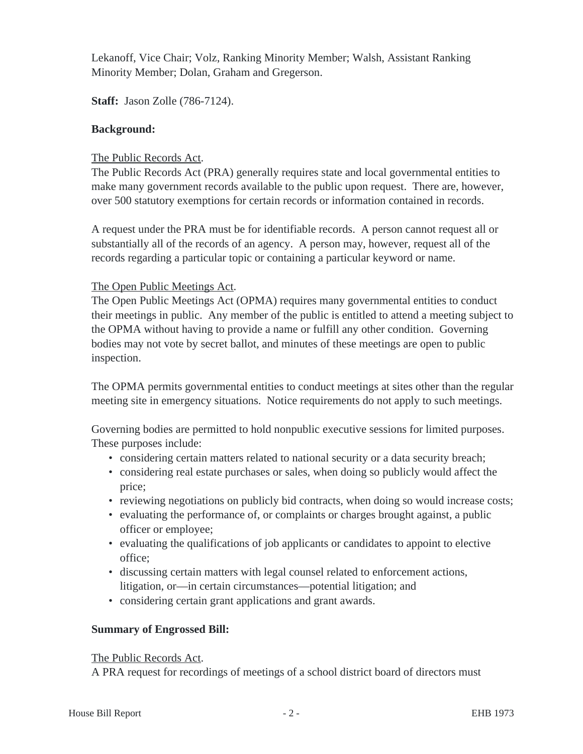Lekanoff, Vice Chair; Volz, Ranking Minority Member; Walsh, Assistant Ranking Minority Member; Dolan, Graham and Gregerson.

**Staff:** Jason Zolle (786-7124).

## **Background:**

## The Public Records Act.

The Public Records Act (PRA) generally requires state and local governmental entities to make many government records available to the public upon request. There are, however, over 500 statutory exemptions for certain records or information contained in records.

A request under the PRA must be for identifiable records. A person cannot request all or substantially all of the records of an agency. A person may, however, request all of the records regarding a particular topic or containing a particular keyword or name.

## The Open Public Meetings Act.

The Open Public Meetings Act (OPMA) requires many governmental entities to conduct their meetings in public. Any member of the public is entitled to attend a meeting subject to the OPMA without having to provide a name or fulfill any other condition. Governing bodies may not vote by secret ballot, and minutes of these meetings are open to public inspection.

The OPMA permits governmental entities to conduct meetings at sites other than the regular meeting site in emergency situations. Notice requirements do not apply to such meetings.

Governing bodies are permitted to hold nonpublic executive sessions for limited purposes. These purposes include:

- considering certain matters related to national security or a data security breach;
- considering real estate purchases or sales, when doing so publicly would affect the price;
- reviewing negotiations on publicly bid contracts, when doing so would increase costs;
- evaluating the performance of, or complaints or charges brought against, a public officer or employee;
- evaluating the qualifications of job applicants or candidates to appoint to elective office;
- discussing certain matters with legal counsel related to enforcement actions, litigation, or—in certain circumstances—potential litigation; and
- considering certain grant applications and grant awards.

## **Summary of Engrossed Bill:**

## The Public Records Act.

A PRA request for recordings of meetings of a school district board of directors must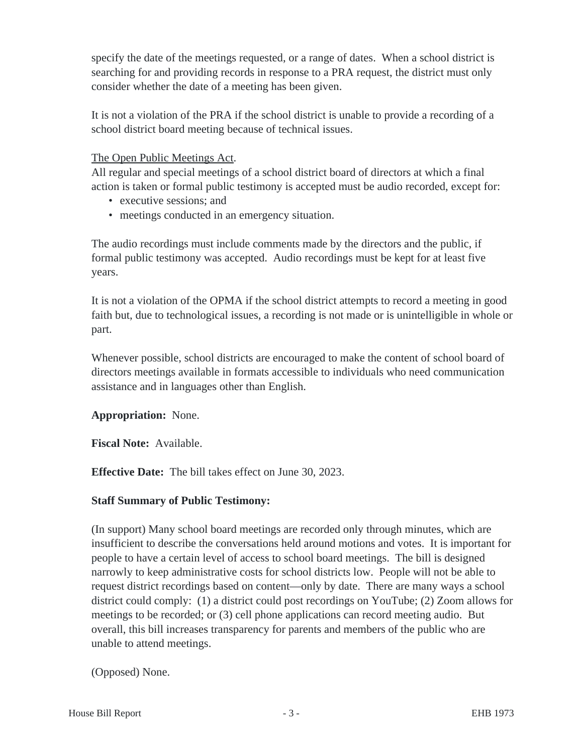specify the date of the meetings requested, or a range of dates. When a school district is searching for and providing records in response to a PRA request, the district must only consider whether the date of a meeting has been given.

It is not a violation of the PRA if the school district is unable to provide a recording of a school district board meeting because of technical issues.

## The Open Public Meetings Act.

All regular and special meetings of a school district board of directors at which a final action is taken or formal public testimony is accepted must be audio recorded, except for:

- executive sessions; and
- meetings conducted in an emergency situation.

The audio recordings must include comments made by the directors and the public, if formal public testimony was accepted. Audio recordings must be kept for at least five years.

It is not a violation of the OPMA if the school district attempts to record a meeting in good faith but, due to technological issues, a recording is not made or is unintelligible in whole or part.

Whenever possible, school districts are encouraged to make the content of school board of directors meetings available in formats accessible to individuals who need communication assistance and in languages other than English.

# **Appropriation:** None.

**Fiscal Note:** Available.

**Effective Date:** The bill takes effect on June 30, 2023.

# **Staff Summary of Public Testimony:**

(In support) Many school board meetings are recorded only through minutes, which are insufficient to describe the conversations held around motions and votes. It is important for people to have a certain level of access to school board meetings. The bill is designed narrowly to keep administrative costs for school districts low. People will not be able to request district recordings based on content—only by date. There are many ways a school district could comply: (1) a district could post recordings on YouTube; (2) Zoom allows for meetings to be recorded; or (3) cell phone applications can record meeting audio. But overall, this bill increases transparency for parents and members of the public who are unable to attend meetings.

(Opposed) None.